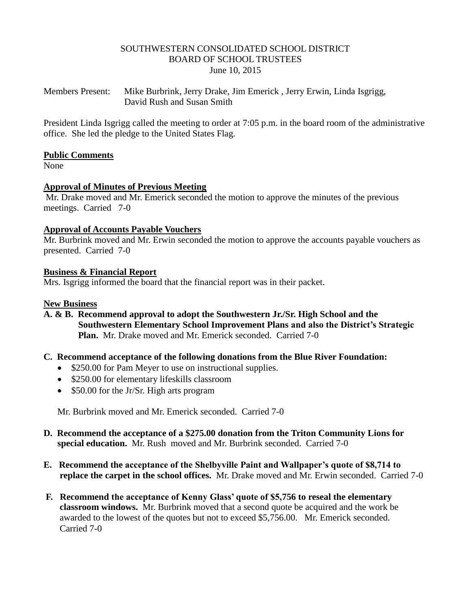### SOUTHWESTERN CONSOLIDATED SCHOOL DISTRICT BOARD OF SCHOOL TRUSTEES June 10, 2015

Members Present: Mike Burbrink, Jerry Drake, Jim Emerick , Jerry Erwin, Linda Isgrigg, David Rush and Susan Smith

President Linda Isgrigg called the meeting to order at 7:05 p.m. in the board room of the administrative office. She led the pledge to the United States Flag.

### **Public Comments**

None

## **Approval of Minutes of Previous Meeting**

Mr. Drake moved and Mr. Emerick seconded the motion to approve the minutes of the previous meetings. Carried 7-0

## **Approval of Accounts Payable Vouchers**

Mr. Burbrink moved and Mr. Erwin seconded the motion to approve the accounts payable vouchers as presented. Carried 7-0

## **Business & Financial Report**

Mrs. Isgrigg informed the board that the financial report was in their packet.

## **New Business**

- **A. & B. Recommend approval to adopt the Southwestern Jr./Sr. High School and the Southwestern Elementary School Improvement Plans and also the District's Strategic Plan.** Mr. Drake moved and Mr. Emerick seconded. Carried 7-0
- **C. Recommend acceptance of the following donations from the Blue River Foundation:**
	- \$250.00 for Pam Meyer to use on instructional supplies.
	- \$250.00 for elementary lifeskills classroom
	- \$50.00 for the Jr/Sr. High arts program

Mr. Burbrink moved and Mr. Emerick seconded. Carried 7-0

- **D. Recommend the acceptance of a \$275.00 donation from the Triton Community Lions for special education.** Mr. Rushmoved and Mr. Burbrink seconded. Carried 7-0
- **E. Recommend the acceptance of the Shelbyville Paint and Wallpaper's quote of \$8,714 to replace the carpet in the school offices.** Mr. Drake moved and Mr. Erwin seconded. Carried 7-0
- **F. Recommend the acceptance of Kenny Glass' quote of \$5,756 to reseal the elementary classroom windows.** Mr. Burbrink moved that a second quote be acquired and the work be awarded to the lowest of the quotes but not to exceed \$5,756.00. Mr. Emerick seconded. Carried 7-0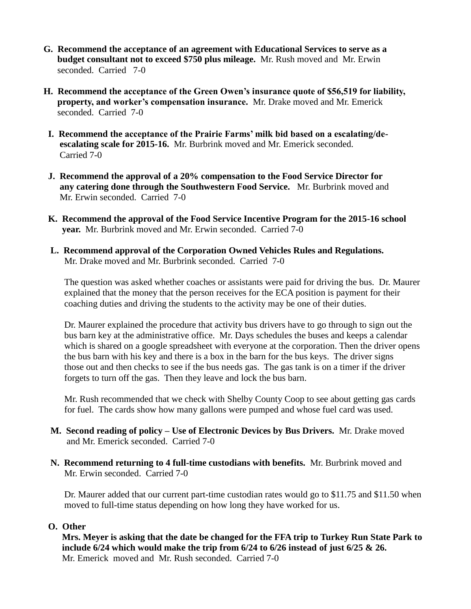- **G. Recommend the acceptance of an agreement with Educational Services to serve as a budget consultant not to exceed \$750 plus mileage.** Mr. Rush moved and Mr. Erwin seconded. Carried 7-0
- **H. Recommend the acceptance of the Green Owen's insurance quote of \$56,519 for liability, property, and worker's compensation insurance.** Mr. Drake moved and Mr. Emerick seconded. Carried 7-0
- **I. Recommend the acceptance of the Prairie Farms' milk bid based on a escalating/de escalating scale for 2015-16.** Mr. Burbrink moved and Mr. Emerick seconded. Carried 7-0
- **J. Recommend the approval of a 20% compensation to the Food Service Director for any catering done through the Southwestern Food Service.** Mr. Burbrink moved and Mr. Erwin seconded. Carried 7-0
- **K. Recommend the approval of the Food Service Incentive Program for the 2015-16 school year.** Mr. Burbrink moved and Mr. Erwin seconded. Carried 7-0
- **L. Recommend approval of the Corporation Owned Vehicles Rules and Regulations.**  Mr. Drake moved and Mr. Burbrink seconded. Carried 7-0

The question was asked whether coaches or assistants were paid for driving the bus. Dr. Maurer explained that the money that the person receives for the ECA position is payment for their coaching duties and driving the students to the activity may be one of their duties.

 Dr. Maurer explained the procedure that activity bus drivers have to go through to sign out the bus barn key at the administrative office. Mr. Days schedules the buses and keeps a calendar which is shared on a google spreadsheet with everyone at the corporation. Then the driver opens the bus barn with his key and there is a box in the barn for the bus keys. The driver signs those out and then checks to see if the bus needs gas. The gas tank is on a timer if the driver forgets to turn off the gas. Then they leave and lock the bus barn.

 Mr. Rush recommended that we check with Shelby County Coop to see about getting gas cards for fuel. The cards show how many gallons were pumped and whose fuel card was used.

- **M. Second reading of policy – Use of Electronic Devices by Bus Drivers.** Mr. Drake moved and Mr. Emerick seconded. Carried 7-0
- **N. Recommend returning to 4 full-time custodians with benefits.** Mr. Burbrink moved and Mr. Erwin seconded. Carried 7-0

 Dr. Maurer added that our current part-time custodian rates would go to \$11.75 and \$11.50 when moved to full-time status depending on how long they have worked for us.

## **O. Other**

 **Mrs. Meyer is asking that the date be changed for the FFA trip to Turkey Run State Park to include 6/24 which would make the trip from 6/24 to 6/26 instead of just 6/25 & 26.** Mr. Emerickmoved and Mr. Rush seconded. Carried 7-0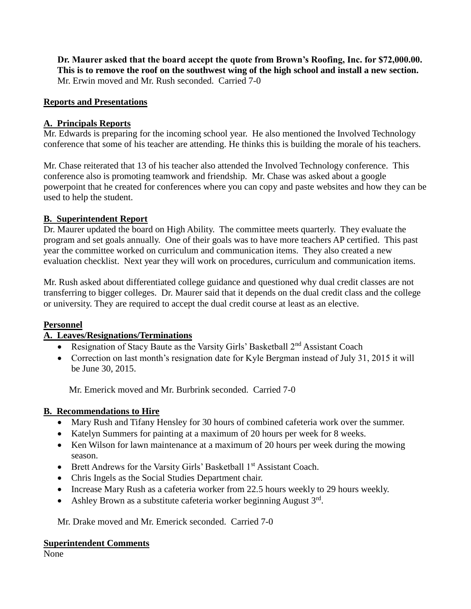**Dr. Maurer asked that the board accept the quote from Brown's Roofing, Inc. for \$72,000.00. This is to remove the roof on the southwest wing of the high school and install a new section.** Mr. Erwin moved and Mr. Rush seconded. Carried 7-0

## **Reports and Presentations**

## **A. Principals Reports**

Mr. Edwards is preparing for the incoming school year. He also mentioned the Involved Technology conference that some of his teacher are attending. He thinks this is building the morale of his teachers.

Mr. Chase reiterated that 13 of his teacher also attended the Involved Technology conference. This conference also is promoting teamwork and friendship. Mr. Chase was asked about a google powerpoint that he created for conferences where you can copy and paste websites and how they can be used to help the student.

## **B. Superintendent Report**

Dr. Maurer updated the board on High Ability. The committee meets quarterly. They evaluate the program and set goals annually. One of their goals was to have more teachers AP certified. This past year the committee worked on curriculum and communication items. They also created a new evaluation checklist. Next year they will work on procedures, curriculum and communication items.

Mr. Rush asked about differentiated college guidance and questioned why dual credit classes are not transferring to bigger colleges. Dr. Maurer said that it depends on the dual credit class and the college or university. They are required to accept the dual credit course at least as an elective.

### **Personnel**

# **A. Leaves/Resignations/Terminations**

- Resignation of Stacy Baute as the Varsity Girls' Basketball 2<sup>nd</sup> Assistant Coach
- Correction on last month's resignation date for Kyle Bergman instead of July 31, 2015 it will be June 30, 2015.

Mr. Emerick moved and Mr. Burbrink seconded. Carried 7-0

# **B. Recommendations to Hire**

- Mary Rush and Tifany Hensley for 30 hours of combined cafeteria work over the summer.
- Katelyn Summers for painting at a maximum of 20 hours per week for 8 weeks.
- Ken Wilson for lawn maintenance at a maximum of 20 hours per week during the mowing season.
- $\bullet$  Brett Andrews for the Varsity Girls' Basketball 1<sup>st</sup> Assistant Coach.
- Chris Ingels as the Social Studies Department chair.
- Increase Mary Rush as a cafeteria worker from 22.5 hours weekly to 29 hours weekly.
- Ashley Brown as a substitute cafeteria worker beginning August 3rd.

Mr. Drake moved and Mr. Emerick seconded. Carried 7-0

### **Superintendent Comments**

None